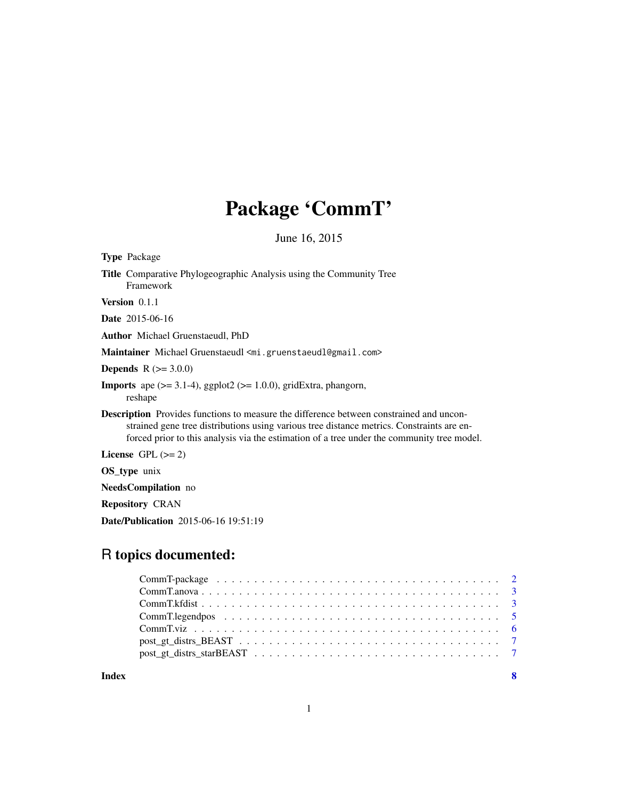# Package 'CommT'

June 16, 2015

| <b>Type Package</b>                                                                                                                                                                                                                                                                       |
|-------------------------------------------------------------------------------------------------------------------------------------------------------------------------------------------------------------------------------------------------------------------------------------------|
| <b>Title</b> Comparative Phylogeographic Analysis using the Community Tree<br>Framework                                                                                                                                                                                                   |
| Version $0.1.1$                                                                                                                                                                                                                                                                           |
| <b>Date</b> 2015-06-16                                                                                                                                                                                                                                                                    |
| Author Michael Gruenstaeudl, PhD                                                                                                                                                                                                                                                          |
| Maintainer Michael Gruenstaeudl <mi.gruenstaeudl@gmail.com></mi.gruenstaeudl@gmail.com>                                                                                                                                                                                                   |
| <b>Depends</b> $R (= 3.0.0)$                                                                                                                                                                                                                                                              |
| <b>Imports</b> ape $(>= 3.1-4)$ , ggplot2 $(>= 1.0.0)$ , gridExtra, phangorn,<br>reshape                                                                                                                                                                                                  |
| <b>Description</b> Provides functions to measure the difference between constrained and uncon-<br>strained gene tree distributions using various tree distance metrics. Constraints are en-<br>forced prior to this analysis via the estimation of a tree under the community tree model. |
| License GPL $(>= 2)$                                                                                                                                                                                                                                                                      |
| <b>OS_type</b> unix                                                                                                                                                                                                                                                                       |
| NeedsCompilation no                                                                                                                                                                                                                                                                       |
| <b>Repository CRAN</b>                                                                                                                                                                                                                                                                    |
| <b>Date/Publication</b> 2015-06-16 19:51:19                                                                                                                                                                                                                                               |

# R topics documented:

**Index** [8](#page-7-0) **8**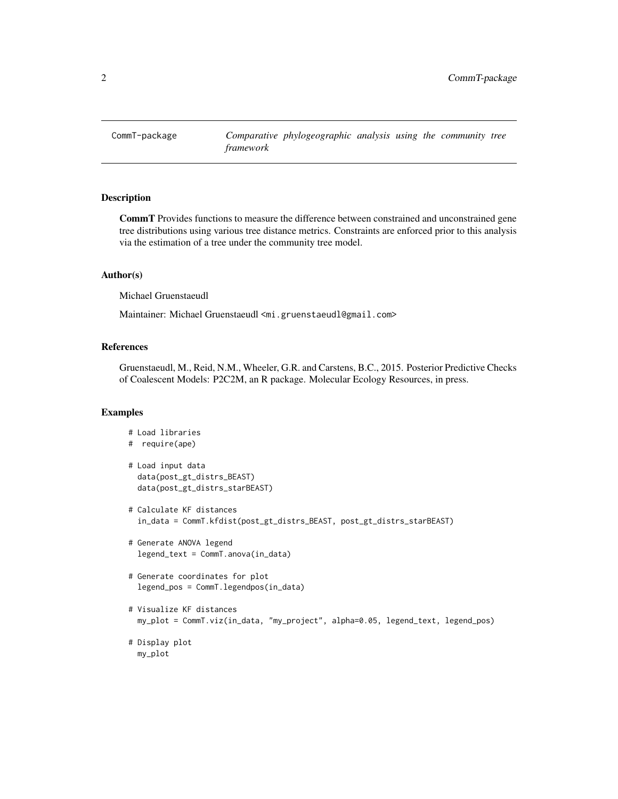<span id="page-1-0"></span>

CommT Provides functions to measure the difference between constrained and unconstrained gene tree distributions using various tree distance metrics. Constraints are enforced prior to this analysis via the estimation of a tree under the community tree model.

#### Author(s)

Michael Gruenstaeudl

Maintainer: Michael Gruenstaeudl <mi.gruenstaeudl@gmail.com>

# References

Gruenstaeudl, M., Reid, N.M., Wheeler, G.R. and Carstens, B.C., 2015. Posterior Predictive Checks of Coalescent Models: P2C2M, an R package. Molecular Ecology Resources, in press.

```
# Load libraries
# require(ape)
# Load input data
  data(post_gt_distrs_BEAST)
  data(post_gt_distrs_starBEAST)
# Calculate KF distances
  in_data = CommT.kfdist(post_gt_distrs_BEAST, post_gt_distrs_starBEAST)
# Generate ANOVA legend
  legend_text = CommT.anova(in_data)
# Generate coordinates for plot
  legend_pos = CommT.legendpos(in_data)
# Visualize KF distances
  my_plot = CommT.viz(in_data, "my_project", alpha=0.05, legend_text, legend_pos)
# Display plot
  my_plot
```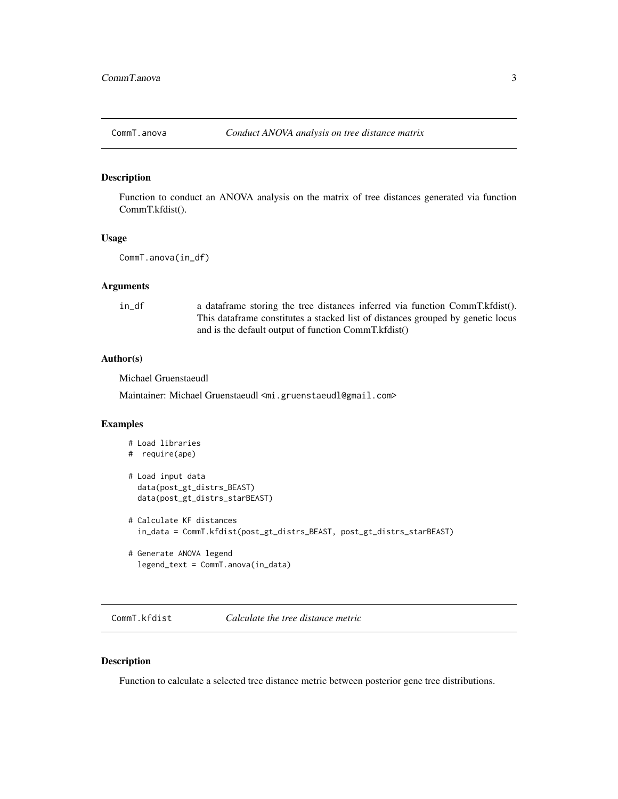<span id="page-2-0"></span>

Function to conduct an ANOVA analysis on the matrix of tree distances generated via function CommT.kfdist().

## Usage

```
CommT.anova(in_df)
```
#### Arguments

in\_df a dataframe storing the tree distances inferred via function CommT.kfdist(). This dataframe constitutes a stacked list of distances grouped by genetic locus and is the default output of function CommT.kfdist()

#### Author(s)

Michael Gruenstaeudl

Maintainer: Michael Gruenstaeudl <mi.gruenstaeudl@gmail.com>

### Examples

```
# Load libraries
# require(ape)
# Load input data
  data(post_gt_distrs_BEAST)
  data(post_gt_distrs_starBEAST)
# Calculate KF distances
  in_data = CommT.kfdist(post_gt_distrs_BEAST, post_gt_distrs_starBEAST)
# Generate ANOVA legend
  legend_text = CommT.anova(in_data)
```
CommT.kfdist *Calculate the tree distance metric*

### Description

Function to calculate a selected tree distance metric between posterior gene tree distributions.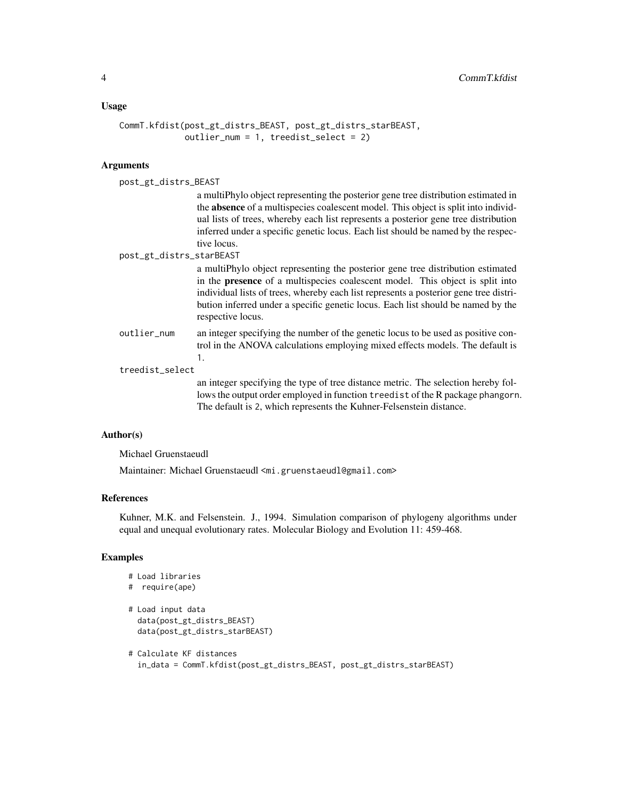#### Usage

```
CommT.kfdist(post_gt_distrs_BEAST, post_gt_distrs_starBEAST,
            outlier_num = 1, treedist_select = 2)
```
# Arguments

| post_gt_distrs_BEAST     |                                                                                                                                                                                                                                                                                                                                                                           |
|--------------------------|---------------------------------------------------------------------------------------------------------------------------------------------------------------------------------------------------------------------------------------------------------------------------------------------------------------------------------------------------------------------------|
|                          | a multiPhylo object representing the posterior gene tree distribution estimated in<br>the absence of a multispecies coalescent model. This object is split into individ-<br>ual lists of trees, whereby each list represents a posterior gene tree distribution<br>inferred under a specific genetic locus. Each list should be named by the respec-<br>tive locus.       |
| post_gt_distrs_starBEAST |                                                                                                                                                                                                                                                                                                                                                                           |
|                          | a multiPhylo object representing the posterior gene tree distribution estimated<br>in the <b>presence</b> of a multispecies coalescent model. This object is split into<br>individual lists of trees, whereby each list represents a posterior gene tree distri-<br>bution inferred under a specific genetic locus. Each list should be named by the<br>respective locus. |
| outlier_num              | an integer specifying the number of the genetic locus to be used as positive con-<br>trol in the ANOVA calculations employing mixed effects models. The default is<br>1.                                                                                                                                                                                                  |
| treedist_select          |                                                                                                                                                                                                                                                                                                                                                                           |
|                          | an integer specifying the type of tree distance metric. The selection hereby fol-<br>lows the output order employed in function treedist of the R package phangorn.<br>The default is 2, which represents the Kuhner-Felsenstein distance.                                                                                                                                |

#### Author(s)

Michael Gruenstaeudl

Maintainer: Michael Gruenstaeudl <mi.gruenstaeudl@gmail.com>

#### References

Kuhner, M.K. and Felsenstein. J., 1994. Simulation comparison of phylogeny algorithms under equal and unequal evolutionary rates. Molecular Biology and Evolution 11: 459-468.

```
# Load libraries
# require(ape)
# Load input data
  data(post_gt_distrs_BEAST)
  data(post_gt_distrs_starBEAST)
# Calculate KF distances
  in_data = CommT.kfdist(post_gt_distrs_BEAST, post_gt_distrs_starBEAST)
```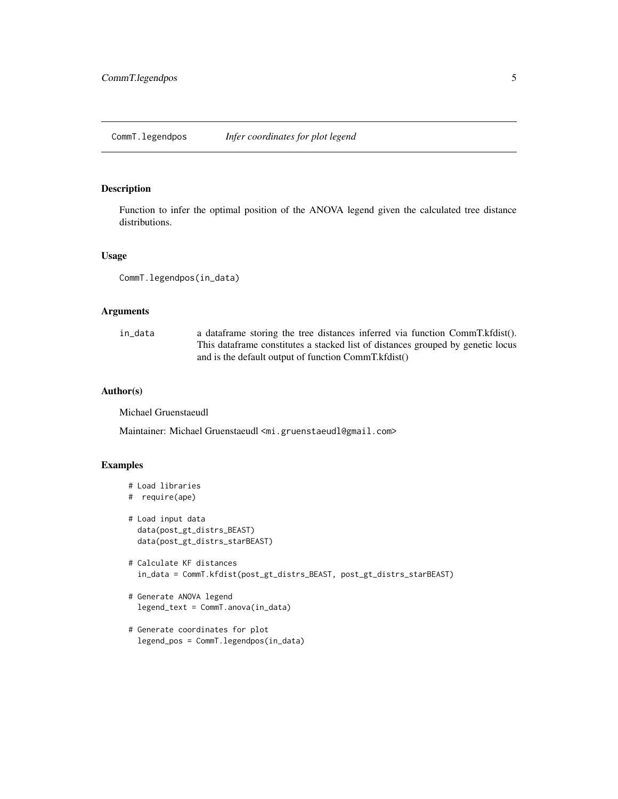<span id="page-4-0"></span>Function to infer the optimal position of the ANOVA legend given the calculated tree distance distributions.

#### Usage

```
CommT.legendpos(in_data)
```
### Arguments

| in data | a data frame storing the tree distances inferred via function CommT. kfdist().   |
|---------|----------------------------------------------------------------------------------|
|         | This data frame constitutes a stacked list of distances grouped by genetic locus |
|         | and is the default output of function CommT.kfdist()                             |

### Author(s)

Michael Gruenstaeudl

Maintainer: Michael Gruenstaeudl <mi.gruenstaeudl@gmail.com>

```
# Load libraries
# require(ape)
# Load input data
  data(post_gt_distrs_BEAST)
  data(post_gt_distrs_starBEAST)
# Calculate KF distances
  in_data = CommT.kfdist(post_gt_distrs_BEAST, post_gt_distrs_starBEAST)
# Generate ANOVA legend
  legend_text = CommT.anova(in_data)
# Generate coordinates for plot
```

```
legend_pos = CommT.legendpos(in_data)
```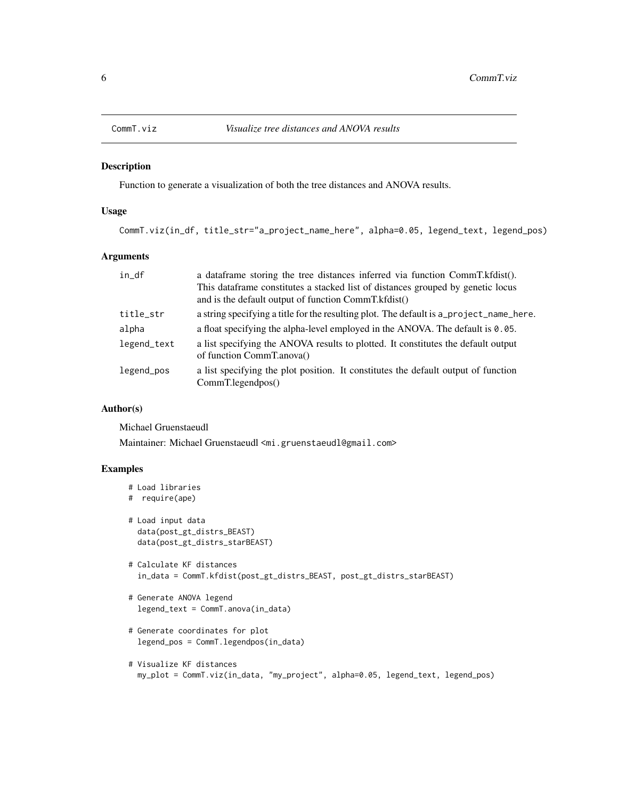<span id="page-5-0"></span>

Function to generate a visualization of both the tree distances and ANOVA results.

# Usage

CommT.viz(in\_df, title\_str="a\_project\_name\_here", alpha=0.05, legend\_text, legend\_pos)

### Arguments

| in_df       | a data frame storing the tree distances inferred via function CommT. kfdist().<br>This dataframe constitutes a stacked list of distances grouped by genetic locus<br>and is the default output of function CommT.kfdist() |
|-------------|---------------------------------------------------------------------------------------------------------------------------------------------------------------------------------------------------------------------------|
| title_str   | a string specifying a title for the resulting plot. The default is a_project_name_here.                                                                                                                                   |
| alpha       | a float specifying the alpha-level employed in the ANOVA. The default is 0.05.                                                                                                                                            |
| legend_text | a list specifying the ANOVA results to plotted. It constitutes the default output<br>of function CommT.anova()                                                                                                            |
| legend_pos  | a list specifying the plot position. It constitutes the default output of function<br>CommT.legendpos()                                                                                                                   |

#### Author(s)

Michael Gruenstaeudl

Maintainer: Michael Gruenstaeudl <mi.gruenstaeudl@gmail.com>

```
# Load libraries
# require(ape)
# Load input data
  data(post_gt_distrs_BEAST)
  data(post_gt_distrs_starBEAST)
# Calculate KF distances
  in_data = CommT.kfdist(post_gt_distrs_BEAST, post_gt_distrs_starBEAST)
# Generate ANOVA legend
 legend_text = CommT.anova(in_data)
# Generate coordinates for plot
  legend_pos = CommT.legendpos(in_data)
```

```
# Visualize KF distances
  my_plot = CommT.viz(in_data, "my_project", alpha=0.05, legend_text, legend_pos)
```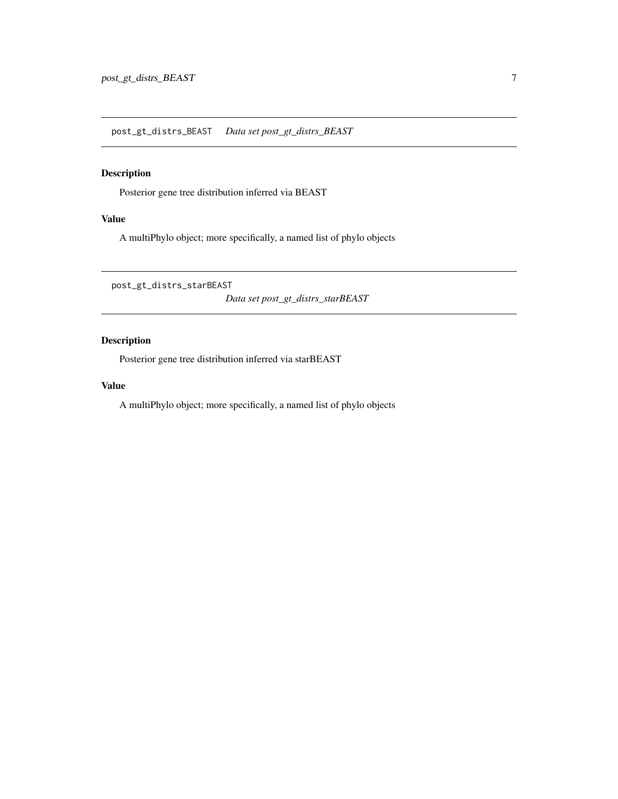<span id="page-6-0"></span>Posterior gene tree distribution inferred via BEAST

#### Value

A multiPhylo object; more specifically, a named list of phylo objects

post\_gt\_distrs\_starBEAST

*Data set post\_gt\_distrs\_starBEAST*

# Description

Posterior gene tree distribution inferred via starBEAST

#### Value

A multiPhylo object; more specifically, a named list of phylo objects